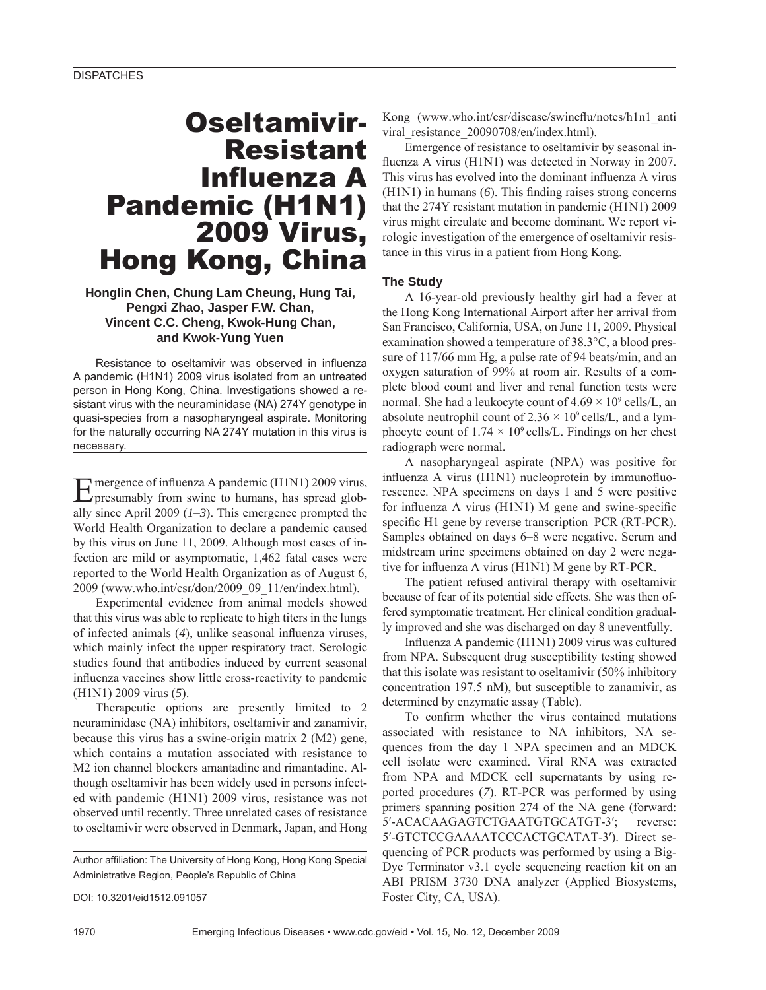# Oseltamivir-Resistant **Influenza A** Pandemic (H1N1) 2009 Virus, Hong Kong, China

## **Honglin Chen, Chung Lam Cheung, Hung Tai, Pengxi Zhao, Jasper F.W. Chan, Vincent C.C. Cheng, Kwok-Hung Chan, and Kwok-Yung Yuen**

Resistance to oseltamivir was observed in influenza A pandemic (H1N1) 2009 virus isolated from an untreated person in Hong Kong, China. Investigations showed a resistant virus with the neuraminidase (NA) 274Y genotype in quasi-species from a nasopharyngeal aspirate. Monitoring for the naturally occurring NA 274Y mutation in this virus is necessary.

Emergence of influenza A pandemic (H1N1) 2009 virus, presumably from swine to humans, has spread globally since April 2009 (*1*–*3*). This emergence prompted the World Health Organization to declare a pandemic caused by this virus on June 11, 2009. Although most cases of infection are mild or asymptomatic, 1,462 fatal cases were reported to the World Health Organization as of August 6, 2009 (www.who.int/csr/don/2009\_09\_11/en/index.html).

Experimental evidence from animal models showed that this virus was able to replicate to high titers in the lungs of infected animals (4), unlike seasonal influenza viruses, which mainly infect the upper respiratory tract. Serologic studies found that antibodies induced by current seasonal influenza vaccines show little cross-reactivity to pandemic (H1N1) 2009 virus (*5*).

Therapeutic options are presently limited to 2 neuraminidase (NA) inhibitors, oseltamivir and zanamivir, because this virus has a swine-origin matrix 2 (M2) gene, which contains a mutation associated with resistance to M2 ion channel blockers amantadine and rimantadine. Although oseltamivir has been widely used in persons infected with pandemic (H1N1) 2009 virus, resistance was not observed until recently. Three unrelated cases of resistance to oseltamivir were observed in Denmark, Japan, and Hong

Author affiliation: The University of Hong Kong, Hong Kong Special Administrative Region, People's Republic of China

DOI: 10.3201/eid1512.091057

Kong (www.who.int/csr/disease/swineflu/notes/h1n1\_anti viral\_resistance\_20090708/en/index.html).

Emergence of resistance to oseltamivir by seasonal influenza A virus (H1N1) was detected in Norway in 2007. This virus has evolved into the dominant influenza A virus  $(H1N1)$  in humans  $(6)$ . This finding raises strong concerns that the 274Y resistant mutation in pandemic (H1N1) 2009 virus might circulate and become dominant. We report virologic investigation of the emergence of oseltamivir resistance in this virus in a patient from Hong Kong.

### **The Study**

A 16-year-old previously healthy girl had a fever at the Hong Kong International Airport after her arrival from San Francisco, California, USA, on June 11, 2009. Physical examination showed a temperature of 38.3°C, a blood pressure of 117/66 mm Hg, a pulse rate of 94 beats/min, and an oxygen saturation of 99% at room air. Results of a complete blood count and liver and renal function tests were normal. She had a leukocyte count of  $4.69 \times 10^9$  cells/L, an absolute neutrophil count of  $2.36 \times 10^9$  cells/L, and a lymphocyte count of  $1.74 \times 10^9$  cells/L. Findings on her chest radiograph were normal.

A nasopharyngeal aspirate (NPA) was positive for influenza A virus  $(H1N1)$  nucleoprotein by immunofluorescence. NPA specimens on days 1 and 5 were positive for influenza A virus  $(H1N1)$  M gene and swine-specific specific H1 gene by reverse transcription–PCR (RT-PCR). Samples obtained on days 6–8 were negative. Serum and midstream urine specimens obtained on day 2 were negative for influenza A virus (H1N1) M gene by RT-PCR.

The patient refused antiviral therapy with oseltamivir because of fear of its potential side effects. She was then offered symptomatic treatment. Her clinical condition gradually improved and she was discharged on day 8 uneventfully.

Influenza A pandemic (H1N1) 2009 virus was cultured from NPA. Subsequent drug susceptibility testing showed that this isolate was resistant to oseltamivir (50% inhibitory concentration 197.5 nM), but susceptible to zanamivir, as determined by enzymatic assay (Table).

To confirm whether the virus contained mutations associated with resistance to NA inhibitors, NA sequences from the day 1 NPA specimen and an MDCK cell isolate were examined. Viral RNA was extracted from NPA and MDCK cell supernatants by using reported procedures (*7*). RT-PCR was performed by using primers spanning position 274 of the NA gene (forward: 5′-ACACAAGAGTCTGAATGTGCATGT-3′; reverse: 5′-GTCTCCGAAAATCCCACTGCATAT-3′). Direct sequencing of PCR products was performed by using a Big-Dye Terminator v3.1 cycle sequencing reaction kit on an ABI PRISM 3730 DNA analyzer (Applied Biosystems, Foster City, CA, USA).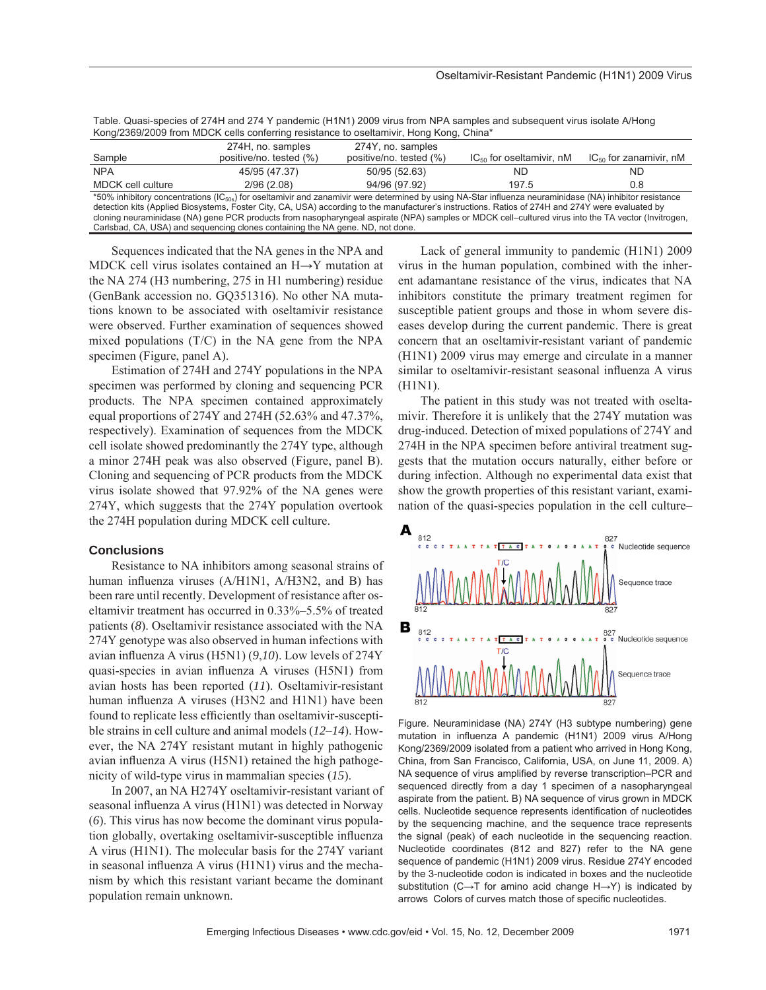| Table. Quasi-species of 274H and 274 Y pandemic (H1N1) 2009 virus from NPA samples and subsequent virus isolate A/Hong |  |
|------------------------------------------------------------------------------------------------------------------------|--|
| Kong/2369/2009 from MDCK cells conferring resistance to oseltamivir, Hong Kong, China*                                 |  |

|                                                                                                                                                                | 274H, no. samples       | 274Y, no. samples       |                               |                             |  |  |
|----------------------------------------------------------------------------------------------------------------------------------------------------------------|-------------------------|-------------------------|-------------------------------|-----------------------------|--|--|
| Sample                                                                                                                                                         | positive/no. tested (%) | positive/no. tested (%) | $IC_{50}$ for oseltamivir, nM | $IC_{50}$ for zanamivir, nM |  |  |
| <b>NPA</b>                                                                                                                                                     | 45/95 (47.37)           | 50/95 (52.63)           | ND.                           | ND.                         |  |  |
| MDCK cell culture                                                                                                                                              | 2/96(2.08)              | 94/96 (97.92)           | 197.5                         | 0.8                         |  |  |
| *50% inhibitory concentrations ( $IC_{50s}$ ) for oseltamivir and zanamivir were determined by using NA-Star influenza neuraminidase (NA) inhibitor resistance |                         |                         |                               |                             |  |  |
| detection kits (Applied Biosystems, Foster City, CA, USA) according to the manufacturer's instructions. Ratios of 274H and 274Y were evaluated by              |                         |                         |                               |                             |  |  |
| cloning neuraminidase (NA) gene PCR products from nasopharyngeal aspirate (NPA) samples or MDCK cell-cultured virus into the TA vector (Invitrogen,            |                         |                         |                               |                             |  |  |

Carlsbad, CA, USA) and sequencing clones containing the NA gene. ND, not done.

Sequences indicated that the NA genes in the NPA and MDCK cell virus isolates contained an H→Y mutation at the NA 274 (H3 numbering, 275 in H1 numbering) residue (GenBank accession no. GQ351316). No other NA mutations known to be associated with oseltamivir resistance were observed. Further examination of sequences showed mixed populations  $(T/C)$  in the NA gene from the NPA specimen (Figure, panel A).

Estimation of 274H and 274Y populations in the NPA specimen was performed by cloning and sequencing PCR products. The NPA specimen contained approximately equal proportions of 274Y and 274H (52.63% and 47.37%, respectively). Examination of sequences from the MDCK cell isolate showed predominantly the 274Y type, although a minor 274H peak was also observed (Figure, panel B). Cloning and sequencing of PCR products from the MDCK virus isolate showed that 97.92% of the NA genes were 274Y, which suggests that the 274Y population overtook the 274H population during MDCK cell culture.

#### **Conclusions**

Resistance to NA inhibitors among seasonal strains of human influenza viruses  $(A/H1N1, A/H3N2,$  and B) has been rare until recently. Development of resistance after oseltamivir treatment has occurred in 0.33%–5.5% of treated patients (*8*). Oseltamivir resistance associated with the NA 274Y genotype was also observed in human infections with avian influenza A virus (H5N1) (9,10). Low levels of 274Y quasi-species in avian influenza A viruses (H5N1) from avian hosts has been reported (*11*). Oseltamivir-resistant human influenza A viruses (H3N2 and H1N1) have been found to replicate less efficiently than oseltamivir-susceptible strains in cell culture and animal models (*12*–*14*). However, the NA 274Y resistant mutant in highly pathogenic avian influenza A virus (H5N1) retained the high pathogenicity of wild-type virus in mammalian species (*15*).

In 2007, an NA H274Y oseltamivir-resistant variant of seasonal influenza A virus (H1N1) was detected in Norway (*6*). This virus has now become the dominant virus population globally, overtaking oseltamivir-susceptible influenza A virus (H1N1). The molecular basis for the 274Y variant in seasonal influenza A virus (H1N1) virus and the mechanism by which this resistant variant became the dominant population remain unknown.

Lack of general immunity to pandemic (H1N1) 2009 virus in the human population, combined with the inherent adamantane resistance of the virus, indicates that NA inhibitors constitute the primary treatment regimen for susceptible patient groups and those in whom severe diseases develop during the current pandemic. There is great concern that an oseltamivir-resistant variant of pandemic (H1N1) 2009 virus may emerge and circulate in a manner similar to oseltamivir-resistant seasonal influenza A virus (H1N1).

The patient in this study was not treated with oseltamivir. Therefore it is unlikely that the 274Y mutation was drug-induced. Detection of mixed populations of 274Y and 274H in the NPA specimen before antiviral treatment suggests that the mutation occurs naturally, either before or during infection. Although no experimental data exist that show the growth properties of this resistant variant, examination of the quasi-species population in the cell culture–



Figure. Neuraminidase (NA) 274Y (H3 subtype numbering) gene mutation in influenza A pandemic (H1N1) 2009 virus A/Hong Kong/2369/2009 isolated from a patient who arrived in Hong Kong, China, from San Francisco, California, USA, on June 11, 2009. A) NA sequence of virus amplified by reverse transcription–PCR and sequenced directly from a day 1 specimen of a nasopharyngeal aspirate from the patient. B) NA sequence of virus grown in MDCK cells. Nucleotide sequence represents identification of nucleotides by the sequencing machine, and the sequence trace represents the signal (peak) of each nucleotide in the sequencing reaction. Nucleotide coordinates (812 and 827) refer to the NA gene sequence of pandemic (H1N1) 2009 virus. Residue 274Y encoded by the 3-nucleotide codon is indicated in boxes and the nucleotide substitution (C→T for amino acid change H→Y) is indicated by arrows Colors of curves match those of specific nucleotides.